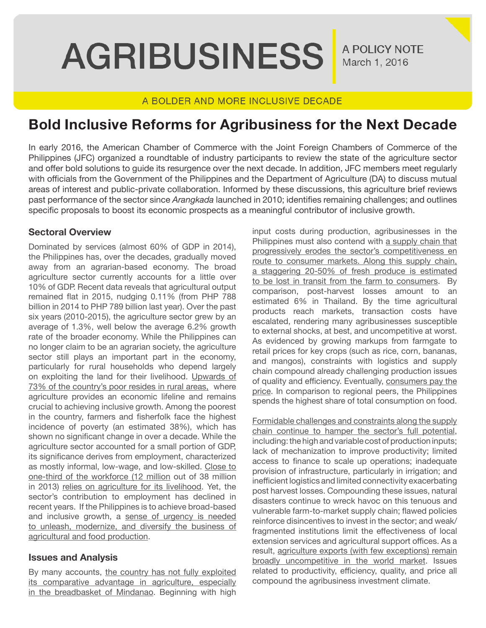**AGRIBUSINESS** 

A POLICY NOTE March 1, 2016

## A BOLDER AND MORE INCLUSIVE DECADE

# **Bold Inclusive Reforms for Agribusiness for the Next Decade**

In early 2016, the American Chamber of Commerce with the Joint Foreign Chambers of Commerce of the Philippines (JFC) organized a roundtable of industry participants to review the state of the agriculture sector and offer bold solutions to guide its resurgence over the next decade. In addition, JFC members meet regularly with officials from the Government of the Philippines and the Department of Agriculture (DA) to discuss mutual areas of interest and public-private collaboration. Informed by these discussions, this agriculture brief reviews past performance of the sector since *Arangkada* launched in 2010; identifies remaining challenges; and outlines specific proposals to boost its economic prospects as a meaningful contributor of inclusive growth.

## **Sectoral Overview**

Dominated by services (almost 60% of GDP in 2014), the Philippines has, over the decades, gradually moved away from an agrarian-based economy. The broad agriculture sector currently accounts for a little over 10% of GDP. Recent data reveals that agricultural output remained flat in 2015, nudging 0.11% (from PHP 788 billion in 2014 to PHP 789 billion last year). Over the past six years (2010-2015), the agriculture sector grew by an average of 1.3%, well below the average 6.2% growth rate of the broader economy. While the Philippines can no longer claim to be an agrarian society, the agriculture sector still plays an important part in the economy, particularly for rural households who depend largely on exploiting the land for their livelihood. Upwards of 73% of the country's poor resides in rural areas, where agriculture provides an economic lifeline and remains crucial to achieving inclusive growth. Among the poorest in the country, farmers and fisherfolk face the highest incidence of poverty (an estimated 38%), which has shown no significant change in over a decade. While the agriculture sector accounted for a small portion of GDP, its significance derives from employment, characterized as mostly informal, low-wage, and low-skilled. Close to one-third of the workforce (12 million out of 38 million in 2013) relies on agriculture for its livelihood. Yet, the sector's contribution to employment has declined in recent years. If the Philippines is to achieve broad-based and inclusive growth, a sense of urgency is needed to unleash, modernize, and diversify the business of agricultural and food production.

## **Issues and Analysis**

By many accounts, the country has not fully exploited its comparative advantage in agriculture, especially in the breadbasket of Mindanao. Beginning with high

input costs during production, agribusinesses in the Philippines must also contend with a supply chain that progressively erodes the sector's competitiveness en route to consumer markets. Along this supply chain, a staggering 20-50% of fresh produce is estimated to be lost in transit from the farm to consumers. By comparison, post-harvest losses amount to an estimated 6% in Thailand. By the time agricultural products reach markets, transaction costs have escalated, rendering many agribusinesses susceptible to external shocks, at best, and uncompetitive at worst. As evidenced by growing markups from farmgate to retail prices for key crops (such as rice, corn, bananas, and mangos), constraints with logistics and supply chain compound already challenging production issues of quality and efficiency. Eventually, consumers pay the price. In comparison to regional peers, the Philippines spends the highest share of total consumption on food.

Formidable challenges and constraints along the supply chain continue to hamper the sector's full potential, including: the high and variable cost of production inputs; lack of mechanization to improve productivity; limited access to finance to scale up operations; inadequate provision of infrastructure, particularly in irrigation; and inefficient logistics and limited connectivity exacerbating post harvest losses. Compounding these issues, natural disasters continue to wreck havoc on this tenuous and vulnerable farm-to-market supply chain; flawed policies reinforce disincentives to invest in the sector; and weak/ fragmented institutions limit the effectiveness of local extension services and agricultural support offices. As a result, agriculture exports (with few exceptions) remain broadly uncompetitive in the world market. Issues related to productivity, efficiency, quality, and price all compound the agribusiness investment climate.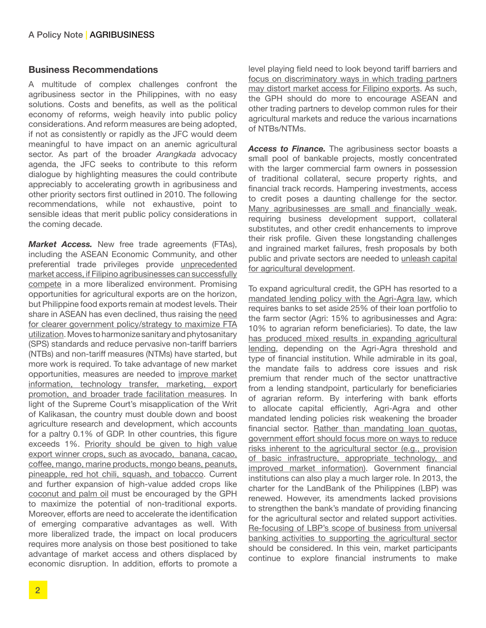### **Business Recommendations**

A multitude of complex challenges confront the agribusiness sector in the Philippines, with no easy solutions. Costs and benefits, as well as the political economy of reforms, weigh heavily into public policy considerations. And reform measures are being adopted, if not as consistently or rapidly as the JFC would deem meaningful to have impact on an anemic agricultural sector. As part of the broader *Arangkada* advocacy agenda, the JFC seeks to contribute to this reform dialogue by highlighting measures the could contribute appreciably to accelerating growth in agribusiness and other priority sectors first outlined in 2010. The following recommendations, while not exhaustive, point to sensible ideas that merit public policy considerations in the coming decade.

*Market Access.* New free trade agreements (FTAs), including the ASEAN Economic Community, and other preferential trade privileges provide unprecedented market access, if Filipino agribusinesses can successfully compete in a more liberalized environment. Promising opportunities for agricultural exports are on the horizon, but Philippine food exports remain at modest levels. Their share in ASEAN has even declined, thus raising the need for clearer government policy/strategy to maximize FTA utilization. Moves to harmonize sanitary and phytosanitary (SPS) standards and reduce pervasive non-tariff barriers (NTBs) and non-tariff measures (NTMs) have started, but more work is required. To take advantage of new market opportunities, measures are needed to improve market information, technology transfer, marketing, export promotion, and broader trade facilitation measures. In light of the Supreme Court's misapplication of the Writ of Kalikasan, the country must double down and boost agriculture research and development, which accounts for a paltry 0.1% of GDP. In other countries, this figure exceeds 1%. Priority should be given to high value export winner crops, such as avocado, banana, cacao, coffee, mango, marine products, mongo beans, peanuts, pineapple, red hot chili, squash, and tobacco. Current and further expansion of high-value added crops like coconut and palm oil must be encouraged by the GPH to maximize the potential of non-traditional exports. Moreover, efforts are need to accelerate the identification of emerging comparative advantages as well. With more liberalized trade, the impact on local producers requires more analysis on those best positioned to take advantage of market access and others displaced by economic disruption. In addition, efforts to promote a

level playing field need to look beyond tariff barriers and focus on discriminatory ways in which trading partners may distort market access for Filipino exports. As such, the GPH should do more to encourage ASEAN and other trading partners to develop common rules for their agricultural markets and reduce the various incarnations of NTBs/NTMs.

*Access to Finance.* The agribusiness sector boasts a small pool of bankable projects, mostly concentrated with the larger commercial farm owners in possession of traditional collateral, secure property rights, and financial track records. Hampering investments, access to credit poses a daunting challenge for the sector. Many agribusinesses are small and financially weak, requiring business development support, collateral substitutes, and other credit enhancements to improve their risk profile. Given these longstanding challenges and ingrained market failures, fresh proposals by both public and private sectors are needed to unleash capital for agricultural development.

To expand agricultural credit, the GPH has resorted to a mandated lending policy with the Agri-Agra law, which requires banks to set aside 25% of their loan portfolio to the farm sector (Agri: 15% to agribusinesses and Agra: 10% to agrarian reform beneficiaries). To date, the law has produced mixed results in expanding agricultural lending, depending on the Agri-Agra threshold and type of financial institution. While admirable in its goal, the mandate fails to address core issues and risk premium that render much of the sector unattractive from a lending standpoint, particularly for beneficiaries of agrarian reform. By interfering with bank efforts to allocate capital efficiently, Agri-Agra and other mandated lending policies risk weakening the broader financial sector. Rather than mandating loan quotas, government effort should focus more on ways to reduce risks inherent to the agricultural sector (e.g., provision of basic infrastructure, appropriate technology, and improved market information). Government financial institutions can also play a much larger role. In 2013, the charter for the LandBank of the Philippines (LBP) was renewed. However, its amendments lacked provisions to strengthen the bank's mandate of providing financing for the agricultural sector and related support activities. Re-focusing of LBP's scope of business from universal banking activities to supporting the agricultural sector should be considered. In this vein, market participants continue to explore financial instruments to make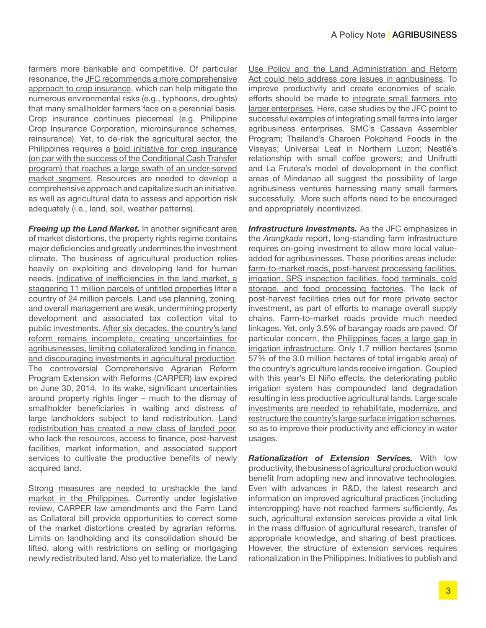farmers more bankable and competitive. Of particular resonance, the JFC recommends a more comprehensive approach to crop insurance, which can help mitigate the numerous environmental risks (e.g., typhoons, droughts) that many smallholder farmers face on a perennial basis. Crop insurance continues piecemeal (e.g. Philippine Crop Insurance Corporation, microinsurance schemes, reinsurance). Yet, to de-risk the agricultural sector, the Philippines requires a bold initiative for crop insurance (on par with the success of the Conditional Cash Transfer program) that reaches a large swath of an under-served market segment. Resources are needed to develop a comprehensive approach and capitalize such an initiative, as well as agricultural data to assess and apportion risk adequately (i.e., land, soil, weather patterns).

*Freeing up the Land Market.* In another significant area of market distortions, the property rights regime contains major deficiencies and greatly undermines the investment climate. The business of agricultural production relies heavily on exploiting and developing land for human needs. Indicative of inefficiencies in the land market, a staggering 11 million parcels of untitled properties litter a country of 24 million parcels. Land use planning, zoning, and overall management are weak, undermining property development and associated tax collection vital to public investments. After six decades, the country's land reform remains incomplete, creating uncertainties for agribusinesses, limiting collateralized lending in finance, and discouraging investments in agricultural production. The controversial Comprehensive Agrarian Reform Program Extension with Reforms (CARPER) law expired on June 30, 2014. In its wake, significant uncertainties around property rights linger – much to the dismay of smallholder beneficiaries in waiting and distress of large landholders subject to land redistribution. Land redistribution has created a new class of landed poor, who lack the resources, access to finance, post-harvest facilities, market information, and associated support services to cultivate the productive benefits of newly acquired land.

Strong measures are needed to unshackle the land market in the Philippines. Currently under legislative review, CARPER law amendments and the Farm Land as Collateral bill provide opportunities to correct some of the market distortions created by agrarian reforms. Limits on landholding and its consolidation should be lifted, along with restrictions on selling or mortgaging newly redistributed land. Also yet to materialize, the Land Use Policy and the Land Administration and Reform Act could help address core issues in agribusiness. To improve productivity and create economies of scale, efforts should be made to integrate small farmers into larger enterprises. Here, case studies by the JFC point to successful examples of integrating small farms into larger agribusiness enterprises. SMC's Cassava Assembler Program; Thailand's Charoen Pokphand Foods in the Visayas; Universal Leaf in Northern Luzon; Nestlé's relationship with small coffee growers; and Unifrutti and La Frutera's model of development in the conflict areas of Mindanao all suggest the possibility of large agribusiness ventures harnessing many small farmers successfully. More such efforts need to be encouraged and appropriately incentivized.

*Infrastructure Investments.* As the JFC emphasizes in the *Arangkada* report, long-standing farm infrastructure requires on-going investment to allow more local valueadded for agribusinesses. These priorities areas include: farm-to-market roads, post-harvest processing facilities, irrigation, SPS inspection facilities, food terminals, cold storage, and food processing factories. The lack of post-harvest facilities cries out for more private sector investment, as part of efforts to manage overall supply chains. Farm-to-market roads provide much needed linkages. Yet, only 3.5% of barangay roads are paved. Of particular concern, the Philippines faces a large gap in irrigation infrastructure. Only 1.7 million hectares (some 57% of the 3.0 million hectares of total irrigable area) of the country's agriculture lands receive irrigation. Coupled with this year's El Niño effects, the deteriorating public irrigation system has compounded land degradation resulting in less productive agricultural lands. Large scale investments are needed to rehabilitate, modernize, and restructure the country's large surface irrigation schemes, so as to improve their productivity and efficiency in water usages.

*Rationalization of Extension Services.* With low productivity, the business of agricultural production would benefit from adopting new and innovative technologies. Even with advances in R&D, the latest research and information on improved agricultural practices (including intercropping) have not reached farmers sufficiently. As such, agricultural extension services provide a vital link in the mass diffusion of agricultural research, transfer of appropriate knowledge, and sharing of best practices. However, the structure of extension services requires rationalization in the Philippines. Initiatives to publish and